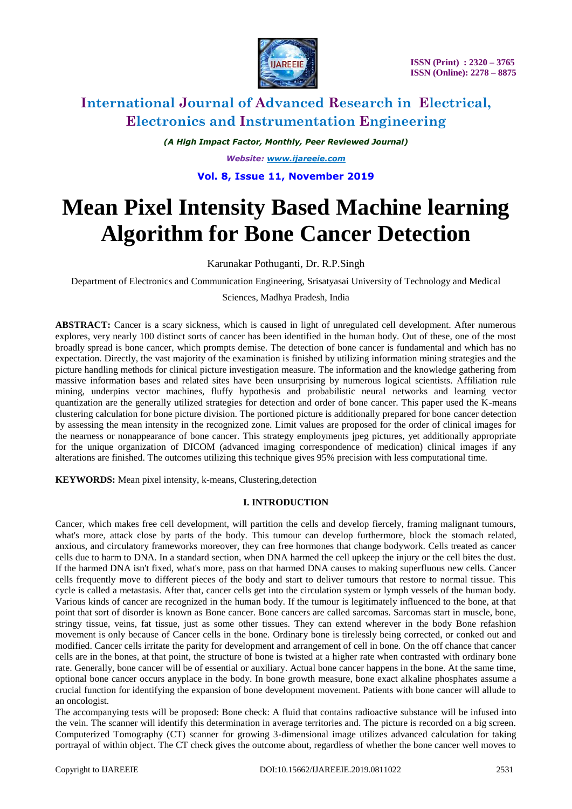

*(A High Impact Factor, Monthly, Peer Reviewed Journal) Website: [www.ijareeie.com](http://www.ijareeie.com/)*

# **Vol. 8, Issue 11, November 2019**

# **Mean Pixel Intensity Based Machine learning Algorithm for Bone Cancer Detection**

### Karunakar Pothuganti, Dr. R.P.Singh

Department of Electronics and Communication Engineering, Srisatyasai University of Technology and Medical

#### Sciences, Madhya Pradesh, India

**ABSTRACT:** Cancer is a scary sickness, which is caused in light of unregulated cell development. After numerous explores, very nearly 100 distinct sorts of cancer has been identified in the human body. Out of these, one of the most broadly spread is bone cancer, which prompts demise. The detection of bone cancer is fundamental and which has no expectation. Directly, the vast majority of the examination is finished by utilizing information mining strategies and the picture handling methods for clinical picture investigation measure. The information and the knowledge gathering from massive information bases and related sites have been unsurprising by numerous logical scientists. Affiliation rule mining, underpins vector machines, fluffy hypothesis and probabilistic neural networks and learning vector quantization are the generally utilized strategies for detection and order of bone cancer. This paper used the K-means clustering calculation for bone picture division. The portioned picture is additionally prepared for bone cancer detection by assessing the mean intensity in the recognized zone. Limit values are proposed for the order of clinical images for the nearness or nonappearance of bone cancer. This strategy employments jpeg pictures, yet additionally appropriate for the unique organization of DICOM (advanced imaging correspondence of medication) clinical images if any alterations are finished. The outcomes utilizing this technique gives 95% precision with less computational time.

**KEYWORDS:** Mean pixel intensity, k-means, Clustering,detection

### **I. INTRODUCTION**

Cancer, which makes free cell development, will partition the cells and develop fiercely, framing malignant tumours, what's more, attack close by parts of the body. This tumour can develop furthermore, block the stomach related, anxious, and circulatory frameworks moreover, they can free hormones that change bodywork. Cells treated as cancer cells due to harm to DNA. In a standard section, when DNA harmed the cell upkeep the injury or the cell bites the dust. If the harmed DNA isn't fixed, what's more, pass on that harmed DNA causes to making superfluous new cells. Cancer cells frequently move to different pieces of the body and start to deliver tumours that restore to normal tissue. This cycle is called a metastasis. After that, cancer cells get into the circulation system or lymph vessels of the human body. Various kinds of cancer are recognized in the human body. If the tumour is legitimately influenced to the bone, at that point that sort of disorder is known as Bone cancer. Bone cancers are called sarcomas. Sarcomas start in muscle, bone, stringy tissue, veins, fat tissue, just as some other tissues. They can extend wherever in the body Bone refashion movement is only because of Cancer cells in the bone. Ordinary bone is tirelessly being corrected, or conked out and modified. Cancer cells irritate the parity for development and arrangement of cell in bone. On the off chance that cancer cells are in the bones, at that point, the structure of bone is twisted at a higher rate when contrasted with ordinary bone rate. Generally, bone cancer will be of essential or auxiliary. Actual bone cancer happens in the bone. At the same time, optional bone cancer occurs anyplace in the body. In bone growth measure, bone exact alkaline phosphates assume a crucial function for identifying the expansion of bone development movement. Patients with bone cancer will allude to an oncologist.

The accompanying tests will be proposed: Bone check: A fluid that contains radioactive substance will be infused into the vein. The scanner will identify this determination in average territories and. The picture is recorded on a big screen. Computerized Tomography (CT) scanner for growing 3-dimensional image utilizes advanced calculation for taking portrayal of within object. The CT check gives the outcome about, regardless of whether the bone cancer well moves to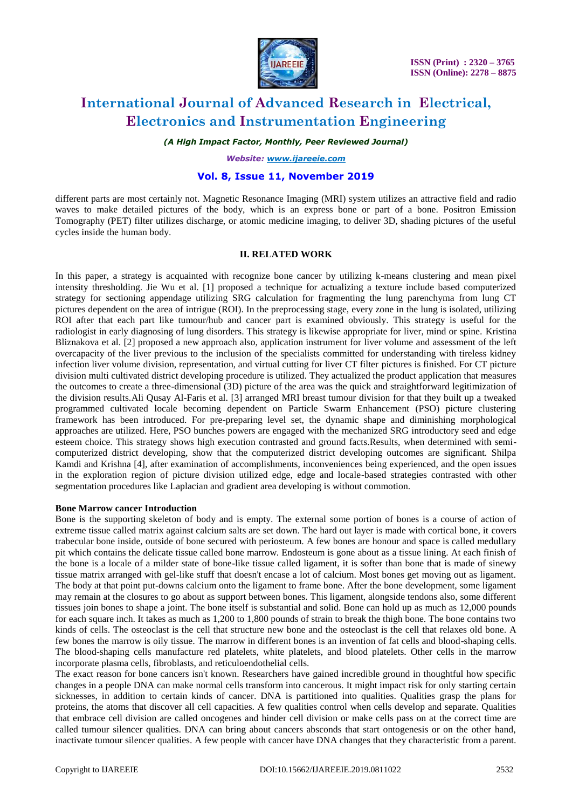

*(A High Impact Factor, Monthly, Peer Reviewed Journal)*

*Website: [www.ijareeie.com](http://www.ijareeie.com/)*

### **Vol. 8, Issue 11, November 2019**

different parts are most certainly not. Magnetic Resonance Imaging (MRI) system utilizes an attractive field and radio waves to make detailed pictures of the body, which is an express bone or part of a bone. Positron Emission Tomography (PET) filter utilizes discharge, or atomic medicine imaging, to deliver 3D, shading pictures of the useful cycles inside the human body.

#### **II. RELATED WORK**

In this paper, a strategy is acquainted with recognize bone cancer by utilizing k-means clustering and mean pixel intensity thresholding. Jie Wu et al. [1] proposed a technique for actualizing a texture include based computerized strategy for sectioning appendage utilizing SRG calculation for fragmenting the lung parenchyma from lung CT pictures dependent on the area of intrigue (ROI). In the preprocessing stage, every zone in the lung is isolated, utilizing ROI after that each part like tumour/hub and cancer part is examined obviously. This strategy is useful for the radiologist in early diagnosing of lung disorders. This strategy is likewise appropriate for liver, mind or spine. Kristina Bliznakova et al. [2] proposed a new approach also, application instrument for liver volume and assessment of the left overcapacity of the liver previous to the inclusion of the specialists committed for understanding with tireless kidney infection liver volume division, representation, and virtual cutting for liver CT filter pictures is finished. For CT picture division multi cultivated district developing procedure is utilized. They actualized the product application that measures the outcomes to create a three-dimensional (3D) picture of the area was the quick and straightforward legitimization of the division results.Ali Qusay Al-Faris et al. [3] arranged MRI breast tumour division for that they built up a tweaked programmed cultivated locale becoming dependent on Particle Swarm Enhancement (PSO) picture clustering framework has been introduced. For pre-preparing level set, the dynamic shape and diminishing morphological approaches are utilized. Here, PSO bunches powers are engaged with the mechanized SRG introductory seed and edge esteem choice. This strategy shows high execution contrasted and ground facts.Results, when determined with semicomputerized district developing, show that the computerized district developing outcomes are significant. Shilpa Kamdi and Krishna [4], after examination of accomplishments, inconveniences being experienced, and the open issues in the exploration region of picture division utilized edge, edge and locale-based strategies contrasted with other segmentation procedures like Laplacian and gradient area developing is without commotion.

#### **Bone Marrow cancer Introduction**

Bone is the supporting skeleton of body and is empty. The external some portion of bones is a course of action of extreme tissue called matrix against calcium salts are set down. The hard out layer is made with cortical bone, it covers trabecular bone inside, outside of bone secured with periosteum. A few bones are honour and space is called medullary pit which contains the delicate tissue called bone marrow. Endosteum is gone about as a tissue lining. At each finish of the bone is a locale of a milder state of bone-like tissue called ligament, it is softer than bone that is made of sinewy tissue matrix arranged with gel-like stuff that doesn't encase a lot of calcium. Most bones get moving out as ligament. The body at that point put-downs calcium onto the ligament to frame bone. After the bone development, some ligament may remain at the closures to go about as support between bones. This ligament, alongside tendons also, some different tissues join bones to shape a joint. The bone itself is substantial and solid. Bone can hold up as much as 12,000 pounds for each square inch. It takes as much as 1,200 to 1,800 pounds of strain to break the thigh bone. The bone contains two kinds of cells. The osteoclast is the cell that structure new bone and the osteoclast is the cell that relaxes old bone. A few bones the marrow is oily tissue. The marrow in different bones is an invention of fat cells and blood-shaping cells. The blood-shaping cells manufacture red platelets, white platelets, and blood platelets. Other cells in the marrow incorporate plasma cells, fibroblasts, and reticuloendothelial cells.

The exact reason for bone cancers isn't known. Researchers have gained incredible ground in thoughtful how specific changes in a people DNA can make normal cells transform into cancerous. It might impact risk for only starting certain sicknesses, in addition to certain kinds of cancer. DNA is partitioned into qualities. Qualities grasp the plans for proteins, the atoms that discover all cell capacities. A few qualities control when cells develop and separate. Qualities that embrace cell division are called oncogenes and hinder cell division or make cells pass on at the correct time are called tumour silencer qualities. DNA can bring about cancers absconds that start ontogenesis or on the other hand, inactivate tumour silencer qualities. A few people with cancer have DNA changes that they characteristic from a parent.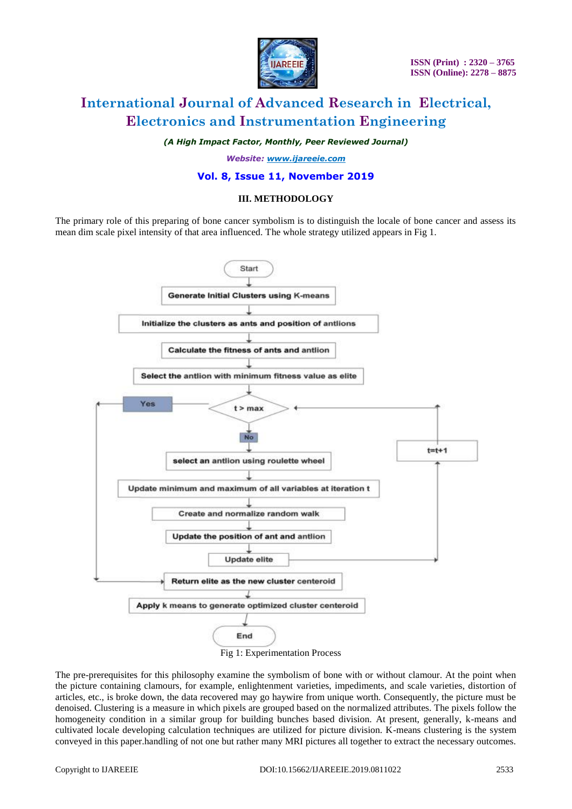

*(A High Impact Factor, Monthly, Peer Reviewed Journal)*

*Website: [www.ijareeie.com](http://www.ijareeie.com/)*

### **Vol. 8, Issue 11, November 2019**

#### **III. METHODOLOGY**

The primary role of this preparing of bone cancer symbolism is to distinguish the locale of bone cancer and assess its mean dim scale pixel intensity of that area influenced. The whole strategy utilized appears in Fig 1.



Fig 1: Experimentation Process

The pre-prerequisites for this philosophy examine the symbolism of bone with or without clamour. At the point when the picture containing clamours, for example, enlightenment varieties, impediments, and scale varieties, distortion of articles, etc., is broke down, the data recovered may go haywire from unique worth. Consequently, the picture must be denoised. Clustering is a measure in which pixels are grouped based on the normalized attributes. The pixels follow the homogeneity condition in a similar group for building bunches based division. At present, generally, k-means and cultivated locale developing calculation techniques are utilized for picture division. K-means clustering is the system conveyed in this paper.handling of not one but rather many MRI pictures all together to extract the necessary outcomes.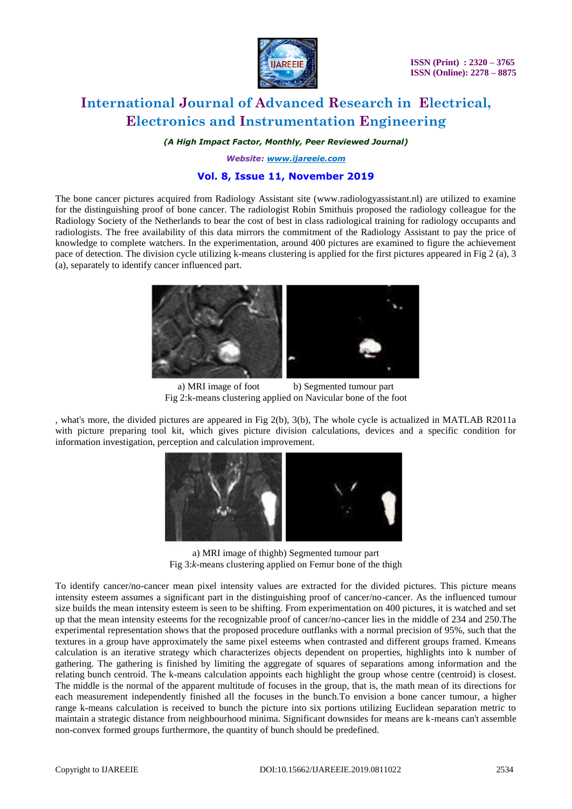

#### *(A High Impact Factor, Monthly, Peer Reviewed Journal)*

*Website: [www.ijareeie.com](http://www.ijareeie.com/)*

# **Vol. 8, Issue 11, November 2019**

The bone cancer pictures acquired from Radiology Assistant site (www.radiologyassistant.nl) are utilized to examine for the distinguishing proof of bone cancer. The radiologist Robin Smithuis proposed the radiology colleague for the Radiology Society of the Netherlands to bear the cost of best in class radiological training for radiology occupants and radiologists. The free availability of this data mirrors the commitment of the Radiology Assistant to pay the price of knowledge to complete watchers. In the experimentation, around 400 pictures are examined to figure the achievement pace of detection. The division cycle utilizing k-means clustering is applied for the first pictures appeared in Fig 2 (a), 3 (a), separately to identify cancer influenced part.



a) MRI image of foot b) Segmented tumour part Fig 2:k-means clustering applied on Navicular bone of the foot

, what's more, the divided pictures are appeared in Fig 2(b), 3(b), The whole cycle is actualized in MATLAB R2011a with picture preparing tool kit, which gives picture division calculations, devices and a specific condition for information investigation, perception and calculation improvement.



a) MRI image of thighb) Segmented tumour part Fig 3:*k*-means clustering applied on Femur bone of the thigh

To identify cancer/no-cancer mean pixel intensity values are extracted for the divided pictures. This picture means intensity esteem assumes a significant part in the distinguishing proof of cancer/no-cancer. As the influenced tumour size builds the mean intensity esteem is seen to be shifting. From experimentation on 400 pictures, it is watched and set up that the mean intensity esteems for the recognizable proof of cancer/no-cancer lies in the middle of 234 and 250.The experimental representation shows that the proposed procedure outflanks with a normal precision of 95%, such that the textures in a group have approximately the same pixel esteems when contrasted and different groups framed. Kmeans calculation is an iterative strategy which characterizes objects dependent on properties, highlights into k number of gathering. The gathering is finished by limiting the aggregate of squares of separations among information and the relating bunch centroid. The k-means calculation appoints each highlight the group whose centre (centroid) is closest. The middle is the normal of the apparent multitude of focuses in the group, that is, the math mean of its directions for each measurement independently finished all the focuses in the bunch.To envision a bone cancer tumour, a higher range k-means calculation is received to bunch the picture into six portions utilizing Euclidean separation metric to maintain a strategic distance from neighbourhood minima. Significant downsides for means are k-means can't assemble non-convex formed groups furthermore, the quantity of bunch should be predefined.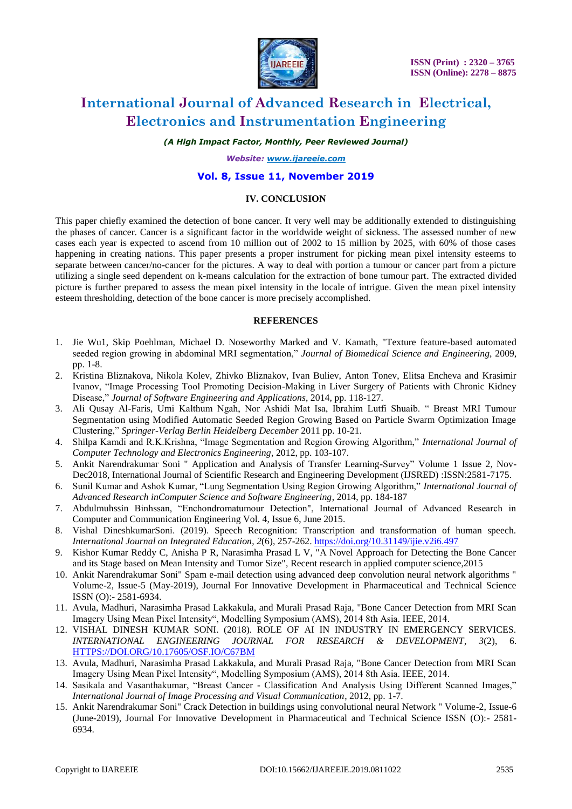

*(A High Impact Factor, Monthly, Peer Reviewed Journal)*

*Website: [www.ijareeie.com](http://www.ijareeie.com/)*

### **Vol. 8, Issue 11, November 2019**

#### **IV. CONCLUSION**

This paper chiefly examined the detection of bone cancer. It very well may be additionally extended to distinguishing the phases of cancer. Cancer is a significant factor in the worldwide weight of sickness. The assessed number of new cases each year is expected to ascend from 10 million out of 2002 to 15 million by 2025, with 60% of those cases happening in creating nations. This paper presents a proper instrument for picking mean pixel intensity esteems to separate between cancer/no-cancer for the pictures. A way to deal with portion a tumour or cancer part from a picture utilizing a single seed dependent on k-means calculation for the extraction of bone tumour part. The extracted divided picture is further prepared to assess the mean pixel intensity in the locale of intrigue. Given the mean pixel intensity esteem thresholding, detection of the bone cancer is more precisely accomplished.

#### **REFERENCES**

- 1. Jie Wu1, Skip Poehlman, Michael D. Noseworthy Marked and V. Kamath, "Texture feature-based automated seeded region growing in abdominal MRI segmentation," *Journal of Biomedical Science and Engineering*, 2009, pp. 1-8.
- 2. Kristina Bliznakova, Nikola Kolev, Zhivko Bliznakov, Ivan Buliev, Anton Tonev, Elitsa Encheva and Krasimir Ivanov, "Image Processing Tool Promoting Decision-Making in Liver Surgery of Patients with Chronic Kidney Disease," *Journal of Software Engineering and Applications*, 2014, pp. 118-127.
- 3. Ali Qusay Al-Faris, Umi Kalthum Ngah, Nor Ashidi Mat Isa, Ibrahim Lutfi Shuaib. " Breast MRI Tumour Segmentation using Modified Automatic Seeded Region Growing Based on Particle Swarm Optimization Image Clustering," *Springer-Verlag Berlin Heidelberg December* 2011 pp. 10-21.
- 4. Shilpa Kamdi and R.K.Krishna, "Image Segmentation and Region Growing Algorithm," *International Journal of Computer Technology and Electronics Engineering*, 2012, pp. 103-107.
- 5. Ankit Narendrakumar Soni " Application and Analysis of Transfer Learning-Survey" Volume 1 Issue 2, Nov-Dec2018, International Journal of Scientific Research and Engineering Development (IJSRED) :ISSN:2581-7175.
- 6. Sunil Kumar and Ashok Kumar, "Lung Segmentation Using Region Growing Algorithm," *International Journal of Advanced Research inComputer Science and Software Engineering*, 2014, pp. 184-187
- 7. Abdulmuhssin Binhssan, "Enchondromatumour Detection", International Journal of Advanced Research in Computer and Communication Engineering Vol. 4, Issue 6, June 2015.
- 8. Vishal DineshkumarSoni. (2019). Speech Recognition: Transcription and transformation of human speech. *International Journal on Integrated Education*, *2*(6), 257-262.<https://doi.org/10.31149/ijie.v2i6.497>
- 9. Kishor Kumar Reddy C, Anisha P R, Narasimha Prasad L V, "A Novel Approach for Detecting the Bone Cancer and its Stage based on Mean Intensity and Tumor Size", Recent research in applied computer science,2015
- 10. Ankit Narendrakumar Soni" Spam e-mail detection using advanced deep convolution neural network algorithms " Volume-2, Issue-5 (May-2019), Journal For Innovative Development in Pharmaceutical and Technical Science ISSN (O):- 2581-6934.
- 11. Avula, Madhuri, Narasimha Prasad Lakkakula, and Murali Prasad Raja, "Bone Cancer Detection from MRI Scan Imagery Using Mean Pixel Intensity", Modelling Symposium (AMS), 2014 8th Asia. IEEE, 2014.
- 12. VISHAL DINESH KUMAR SONI. (2018). ROLE OF AI IN INDUSTRY IN EMERGENCY SERVICES. *INTERNATIONAL ENGINEERING JOURNAL FOR RESEARCH & DEVELOPMENT*, *3*(2), 6. [HTTPS://DOI.ORG/10.17605/OSF.IO/C67BM](https://doi.org/10.17605/OSF.IO/C67BM)
- 13. Avula, Madhuri, Narasimha Prasad Lakkakula, and Murali Prasad Raja, "Bone Cancer Detection from MRI Scan Imagery Using Mean Pixel Intensity", Modelling Symposium (AMS), 2014 8th Asia. IEEE, 2014.
- 14. Sasikala and Vasanthakumar, "Breast Cancer Classification And Analysis Using Different Scanned Images," *International Journal of Image Processing and Visual Communication*, 2012, pp. 1-7.
- 15. Ankit Narendrakumar Soni" Crack Detection in buildings using convolutional neural Network " Volume-2, Issue-6 (June-2019), Journal For Innovative Development in Pharmaceutical and Technical Science ISSN (O):- 2581- 6934.